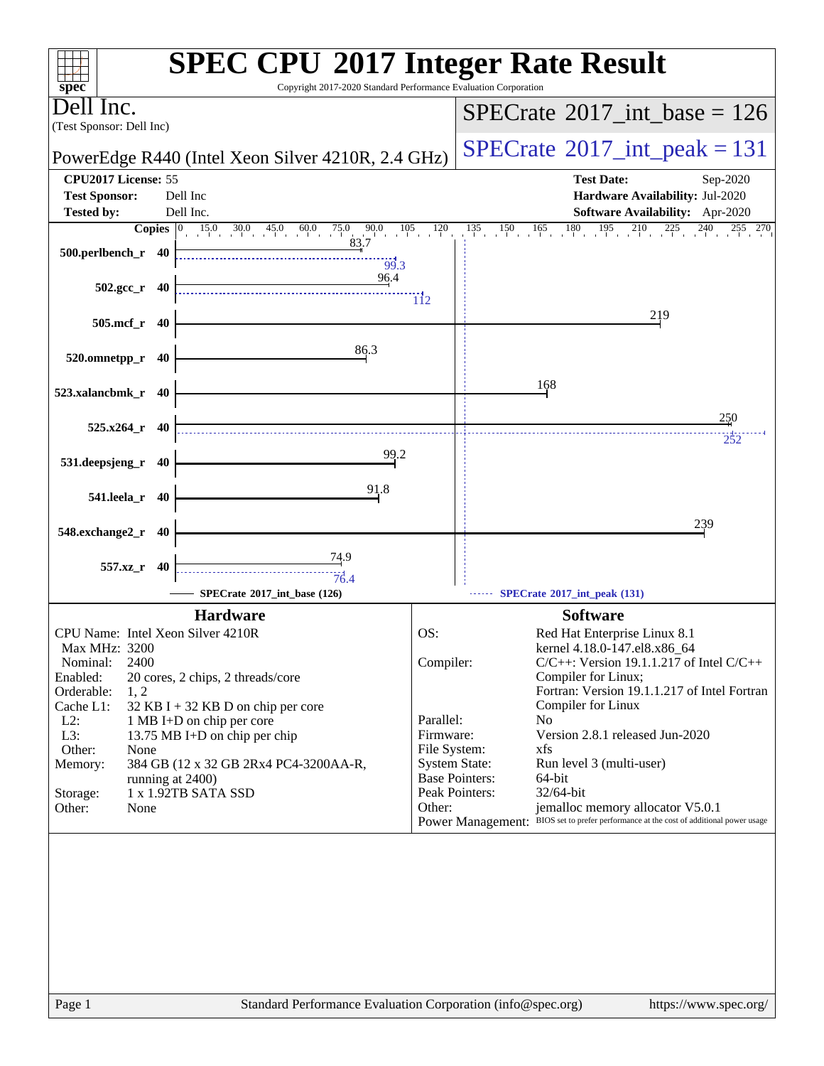| <b>SPEC CPU®2017 Integer Rate Result</b><br>Copyright 2017-2020 Standard Performance Evaluation Corporation<br>$spec^*$ |                                                                                                                                      |  |  |  |  |  |  |
|-------------------------------------------------------------------------------------------------------------------------|--------------------------------------------------------------------------------------------------------------------------------------|--|--|--|--|--|--|
| Dell Inc.<br>(Test Sponsor: Dell Inc)                                                                                   | $SPECTate$ <sup>®</sup> 2017_int_base = 126                                                                                          |  |  |  |  |  |  |
| PowerEdge R440 (Intel Xeon Silver 4210R, 2.4 GHz)                                                                       | $SPECrate^{\circ}2017\_int\_peak = 131$                                                                                              |  |  |  |  |  |  |
| CPU2017 License: 55                                                                                                     | <b>Test Date:</b><br>Sep-2020                                                                                                        |  |  |  |  |  |  |
| <b>Test Sponsor:</b><br>Dell Inc                                                                                        | Hardware Availability: Jul-2020                                                                                                      |  |  |  |  |  |  |
| Dell Inc.<br><b>Tested by:</b>                                                                                          | Software Availability: Apr-2020                                                                                                      |  |  |  |  |  |  |
| $15.0$ $30.0$ $45.0$ $60.0$ $75.0$ $90.0$ $105$<br>$\overline{\text{Copies}}$ 0<br>500.perlbench_r 40<br>99.3           | $180 \t195 \t210 \t225 \t240$<br>120<br>$135 \t 150 \t 165$                                                                          |  |  |  |  |  |  |
| 96.4<br>$502.\text{gcc r}$ 40                                                                                           | $\overline{112}$                                                                                                                     |  |  |  |  |  |  |
| 505.mcf_r 40                                                                                                            | 219                                                                                                                                  |  |  |  |  |  |  |
| 86.3<br>520.omnetpp_r 40                                                                                                |                                                                                                                                      |  |  |  |  |  |  |
| 523.xalancbmk_r 40                                                                                                      | 168                                                                                                                                  |  |  |  |  |  |  |
| $525.x264$ _r 40                                                                                                        | 250                                                                                                                                  |  |  |  |  |  |  |
|                                                                                                                         | 252                                                                                                                                  |  |  |  |  |  |  |
| 99.2<br>531.deepsjeng_r 40                                                                                              |                                                                                                                                      |  |  |  |  |  |  |
| 91.8                                                                                                                    |                                                                                                                                      |  |  |  |  |  |  |
| 541.leela_r 40                                                                                                          |                                                                                                                                      |  |  |  |  |  |  |
| 548.exchange2_r 40                                                                                                      | 239                                                                                                                                  |  |  |  |  |  |  |
| <u>74.9</u>                                                                                                             |                                                                                                                                      |  |  |  |  |  |  |
| 557.xz_r 40<br>76.4                                                                                                     |                                                                                                                                      |  |  |  |  |  |  |
| SPECrate®2017_int_base (126)                                                                                            | SPECrate*2017_int_peak (131)                                                                                                         |  |  |  |  |  |  |
| <b>Hardware</b>                                                                                                         | <b>Software</b>                                                                                                                      |  |  |  |  |  |  |
| CPU Name: Intel Xeon Silver 4210R                                                                                       | OS:<br>Red Hat Enterprise Linux 8.1                                                                                                  |  |  |  |  |  |  |
| Max MHz: 3200                                                                                                           | kernel 4.18.0-147.el8.x86_64                                                                                                         |  |  |  |  |  |  |
| 2400<br>Nominal:<br>Enabled:<br>20 cores, 2 chips, 2 threads/core                                                       | $C/C++$ : Version 19.1.1.217 of Intel $C/C++$<br>Compiler:<br>Compiler for Linux;                                                    |  |  |  |  |  |  |
| Orderable:<br>1, 2                                                                                                      | Fortran: Version 19.1.1.217 of Intel Fortran                                                                                         |  |  |  |  |  |  |
| Cache L1:<br>32 KB I + 32 KB D on chip per core<br>$L2$ :<br>1 MB I+D on chip per core                                  | Compiler for Linux<br>Parallel:<br>N <sub>0</sub>                                                                                    |  |  |  |  |  |  |
| L3:<br>13.75 MB I+D on chip per chip                                                                                    | Version 2.8.1 released Jun-2020<br>Firmware:                                                                                         |  |  |  |  |  |  |
| Other:<br>None                                                                                                          | File System:<br>xfs                                                                                                                  |  |  |  |  |  |  |
| Memory:<br>384 GB (12 x 32 GB 2Rx4 PC4-3200AA-R,<br>running at 2400)                                                    | <b>System State:</b><br>Run level 3 (multi-user)<br><b>Base Pointers:</b><br>64-bit                                                  |  |  |  |  |  |  |
| 1 x 1.92TB SATA SSD<br>Storage:                                                                                         | Peak Pointers:<br>32/64-bit                                                                                                          |  |  |  |  |  |  |
| Other:<br>None                                                                                                          | jemalloc memory allocator V5.0.1<br>Other:<br>Power Management: BIOS set to prefer performance at the cost of additional power usage |  |  |  |  |  |  |
|                                                                                                                         |                                                                                                                                      |  |  |  |  |  |  |
|                                                                                                                         |                                                                                                                                      |  |  |  |  |  |  |
|                                                                                                                         |                                                                                                                                      |  |  |  |  |  |  |
|                                                                                                                         |                                                                                                                                      |  |  |  |  |  |  |
|                                                                                                                         |                                                                                                                                      |  |  |  |  |  |  |
|                                                                                                                         |                                                                                                                                      |  |  |  |  |  |  |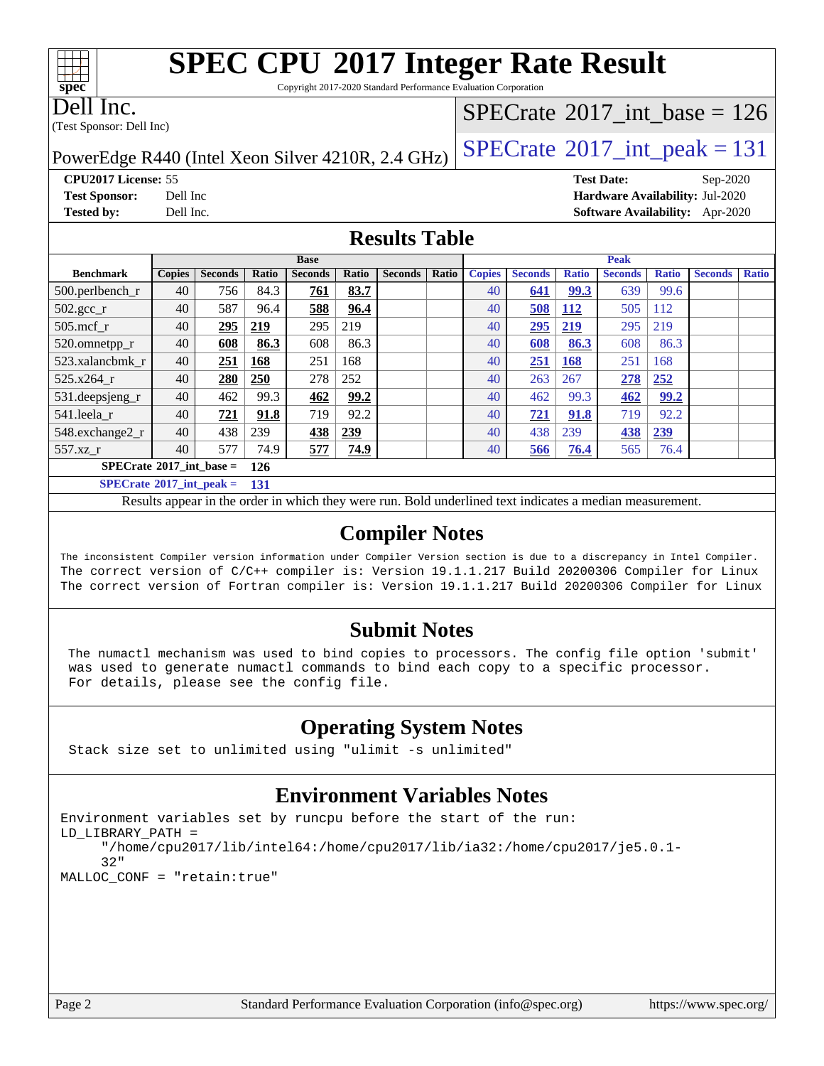# **[SPEC CPU](http://www.spec.org/auto/cpu2017/Docs/result-fields.html#SPECCPU2017IntegerRateResult)[2017 Integer Rate Result](http://www.spec.org/auto/cpu2017/Docs/result-fields.html#SPECCPU2017IntegerRateResult)**

Copyright 2017-2020 Standard Performance Evaluation Corporation

Dell Inc.

**[spec](http://www.spec.org/)**

 $\pm\pm\prime$ 

(Test Sponsor: Dell Inc)

### $SPECTate@2017_int\_base = 126$

PowerEdge R440 (Intel Xeon Silver 4210R, 2.4 GHz)  $\left|$  [SPECrate](http://www.spec.org/auto/cpu2017/Docs/result-fields.html#SPECrate2017intpeak)<sup>®</sup>[2017\\_int\\_peak = 1](http://www.spec.org/auto/cpu2017/Docs/result-fields.html#SPECrate2017intpeak)31

**[CPU2017 License:](http://www.spec.org/auto/cpu2017/Docs/result-fields.html#CPU2017License)** 55 **[Test Date:](http://www.spec.org/auto/cpu2017/Docs/result-fields.html#TestDate)** Sep-2020 **[Test Sponsor:](http://www.spec.org/auto/cpu2017/Docs/result-fields.html#TestSponsor)** Dell Inc **[Hardware Availability:](http://www.spec.org/auto/cpu2017/Docs/result-fields.html#HardwareAvailability)** Jul-2020 **[Tested by:](http://www.spec.org/auto/cpu2017/Docs/result-fields.html#Testedby)** Dell Inc. **[Software Availability:](http://www.spec.org/auto/cpu2017/Docs/result-fields.html#SoftwareAvailability)** Apr-2020

#### **[Results Table](http://www.spec.org/auto/cpu2017/Docs/result-fields.html#ResultsTable)**

|                                   |               |                |       | <b>Base</b>    |       |                |       |               |                |              | <b>Peak</b>    |              |                |              |
|-----------------------------------|---------------|----------------|-------|----------------|-------|----------------|-------|---------------|----------------|--------------|----------------|--------------|----------------|--------------|
| <b>Benchmark</b>                  | <b>Copies</b> | <b>Seconds</b> | Ratio | <b>Seconds</b> | Ratio | <b>Seconds</b> | Ratio | <b>Copies</b> | <b>Seconds</b> | <b>Ratio</b> | <b>Seconds</b> | <b>Ratio</b> | <b>Seconds</b> | <b>Ratio</b> |
| $500.$ perlbench_r                | 40            | 756            | 84.3  | 761            | 83.7  |                |       | 40            | 641            | 99.3         | 639            | 99.6         |                |              |
| $502.\text{gcc}$ <sub>r</sub>     | 40            | 587            | 96.4  | 588            | 96.4  |                |       | 40            | 508            | <b>112</b>   | 505            | 112          |                |              |
| $505$ .mcf r                      | 40            | 295            | 219   | 295            | 219   |                |       | 40            | 295            | 219          | 295            | 219          |                |              |
| 520.omnetpp_r                     | 40            | 608            | 86.3  | 608            | 86.3  |                |       | 40            | 608            | 86.3         | 608            | 86.3         |                |              |
| 523.xalancbmk r                   | 40            | 251            | 168   | 251            | 168   |                |       | 40            | 251            | <b>168</b>   | 251            | 168          |                |              |
| 525.x264 r                        | 40            | 280            | 250   | 278            | 252   |                |       | 40            | 263            | 267          | 278            | 252          |                |              |
| 531.deepsjeng_r                   | 40            | 462            | 99.3  | 462            | 99.2  |                |       | 40            | 462            | 99.3         | 462            | <u>99.2</u>  |                |              |
| 541.leela r                       | 40            | 721            | 91.8  | 719            | 92.2  |                |       | 40            | 721            | 91.8         | 719            | 92.2         |                |              |
| 548.exchange2_r                   | 40            | 438            | 239   | 438            | 239   |                |       | 40            | 438            | 239          | <b>438</b>     | 239          |                |              |
| 557.xz r                          | 40            | 577            | 74.9  | 577            | 74.9  |                |       | 40            | 566            | 76.4         | 565            | 76.4         |                |              |
| $SPECrate^{\circ}2017$ int base = |               |                | 126   |                |       |                |       |               |                |              |                |              |                |              |
| $SPECrate^{\circ}2017$ int peak = |               |                | 131   |                |       |                |       |               |                |              |                |              |                |              |

Results appear in the [order in which they were run.](http://www.spec.org/auto/cpu2017/Docs/result-fields.html#RunOrder) Bold underlined text [indicates a median measurement.](http://www.spec.org/auto/cpu2017/Docs/result-fields.html#Median)

#### **[Compiler Notes](http://www.spec.org/auto/cpu2017/Docs/result-fields.html#CompilerNotes)**

The inconsistent Compiler version information under Compiler Version section is due to a discrepancy in Intel Compiler. The correct version of C/C++ compiler is: Version 19.1.1.217 Build 20200306 Compiler for Linux The correct version of Fortran compiler is: Version 19.1.1.217 Build 20200306 Compiler for Linux

#### **[Submit Notes](http://www.spec.org/auto/cpu2017/Docs/result-fields.html#SubmitNotes)**

 The numactl mechanism was used to bind copies to processors. The config file option 'submit' was used to generate numactl commands to bind each copy to a specific processor. For details, please see the config file.

#### **[Operating System Notes](http://www.spec.org/auto/cpu2017/Docs/result-fields.html#OperatingSystemNotes)**

Stack size set to unlimited using "ulimit -s unlimited"

#### **[Environment Variables Notes](http://www.spec.org/auto/cpu2017/Docs/result-fields.html#EnvironmentVariablesNotes)**

```
Environment variables set by runcpu before the start of the run:
LD_LIBRARY_PATH =
      "/home/cpu2017/lib/intel64:/home/cpu2017/lib/ia32:/home/cpu2017/je5.0.1-
      32"
MALLOC_CONF = "retain:true"
```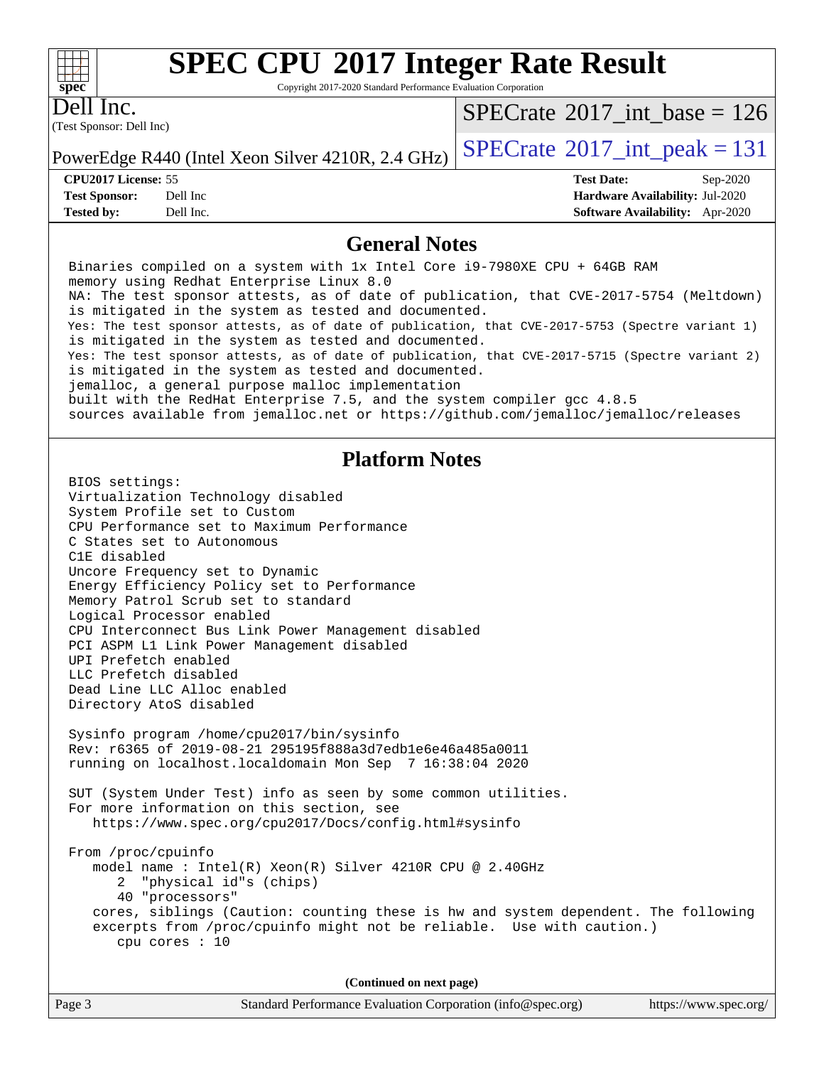#### $+\hskip -1.5pt +\hskip -1.5pt +$ **[spec](http://www.spec.org/)**

# **[SPEC CPU](http://www.spec.org/auto/cpu2017/Docs/result-fields.html#SPECCPU2017IntegerRateResult)[2017 Integer Rate Result](http://www.spec.org/auto/cpu2017/Docs/result-fields.html#SPECCPU2017IntegerRateResult)**

Copyright 2017-2020 Standard Performance Evaluation Corporation

(Test Sponsor: Dell Inc) Dell Inc.

 $SPECrate$ <sup>®</sup>[2017\\_int\\_base =](http://www.spec.org/auto/cpu2017/Docs/result-fields.html#SPECrate2017intbase) 126

PowerEdge R440 (Intel Xeon Silver 4210R, 2.4 GHz)  $\left|$  [SPECrate](http://www.spec.org/auto/cpu2017/Docs/result-fields.html#SPECrate2017intpeak)<sup>®</sup>[2017\\_int\\_peak = 1](http://www.spec.org/auto/cpu2017/Docs/result-fields.html#SPECrate2017intpeak)31

**[CPU2017 License:](http://www.spec.org/auto/cpu2017/Docs/result-fields.html#CPU2017License)** 55 **[Test Date:](http://www.spec.org/auto/cpu2017/Docs/result-fields.html#TestDate)** Sep-2020 **[Test Sponsor:](http://www.spec.org/auto/cpu2017/Docs/result-fields.html#TestSponsor)** Dell Inc **[Hardware Availability:](http://www.spec.org/auto/cpu2017/Docs/result-fields.html#HardwareAvailability)** Jul-2020 **[Tested by:](http://www.spec.org/auto/cpu2017/Docs/result-fields.html#Testedby)** Dell Inc. **[Software Availability:](http://www.spec.org/auto/cpu2017/Docs/result-fields.html#SoftwareAvailability)** Apr-2020

#### **[General Notes](http://www.spec.org/auto/cpu2017/Docs/result-fields.html#GeneralNotes)**

 Binaries compiled on a system with 1x Intel Core i9-7980XE CPU + 64GB RAM memory using Redhat Enterprise Linux 8.0 NA: The test sponsor attests, as of date of publication, that CVE-2017-5754 (Meltdown) is mitigated in the system as tested and documented. Yes: The test sponsor attests, as of date of publication, that CVE-2017-5753 (Spectre variant 1) is mitigated in the system as tested and documented. Yes: The test sponsor attests, as of date of publication, that CVE-2017-5715 (Spectre variant 2) is mitigated in the system as tested and documented. jemalloc, a general purpose malloc implementation built with the RedHat Enterprise 7.5, and the system compiler gcc 4.8.5 sources available from jemalloc.net or<https://github.com/jemalloc/jemalloc/releases> **[Platform Notes](http://www.spec.org/auto/cpu2017/Docs/result-fields.html#PlatformNotes)** BIOS settings: Virtualization Technology disabled System Profile set to Custom CPU Performance set to Maximum Performance C States set to Autonomous C1E disabled Uncore Frequency set to Dynamic Energy Efficiency Policy set to Performance Memory Patrol Scrub set to standard Logical Processor enabled CPU Interconnect Bus Link Power Management disabled PCI ASPM L1 Link Power Management disabled UPI Prefetch enabled LLC Prefetch disabled Dead Line LLC Alloc enabled Directory AtoS disabled Sysinfo program /home/cpu2017/bin/sysinfo Rev: r6365 of 2019-08-21 295195f888a3d7edb1e6e46a485a0011 running on localhost.localdomain Mon Sep 7 16:38:04 2020 SUT (System Under Test) info as seen by some common utilities. For more information on this section, see <https://www.spec.org/cpu2017/Docs/config.html#sysinfo> From /proc/cpuinfo model name : Intel(R) Xeon(R) Silver 4210R CPU @ 2.40GHz 2 "physical id"s (chips) 40 "processors" cores, siblings (Caution: counting these is hw and system dependent. The following excerpts from /proc/cpuinfo might not be reliable. Use with caution.) cpu cores : 10 **(Continued on next page)**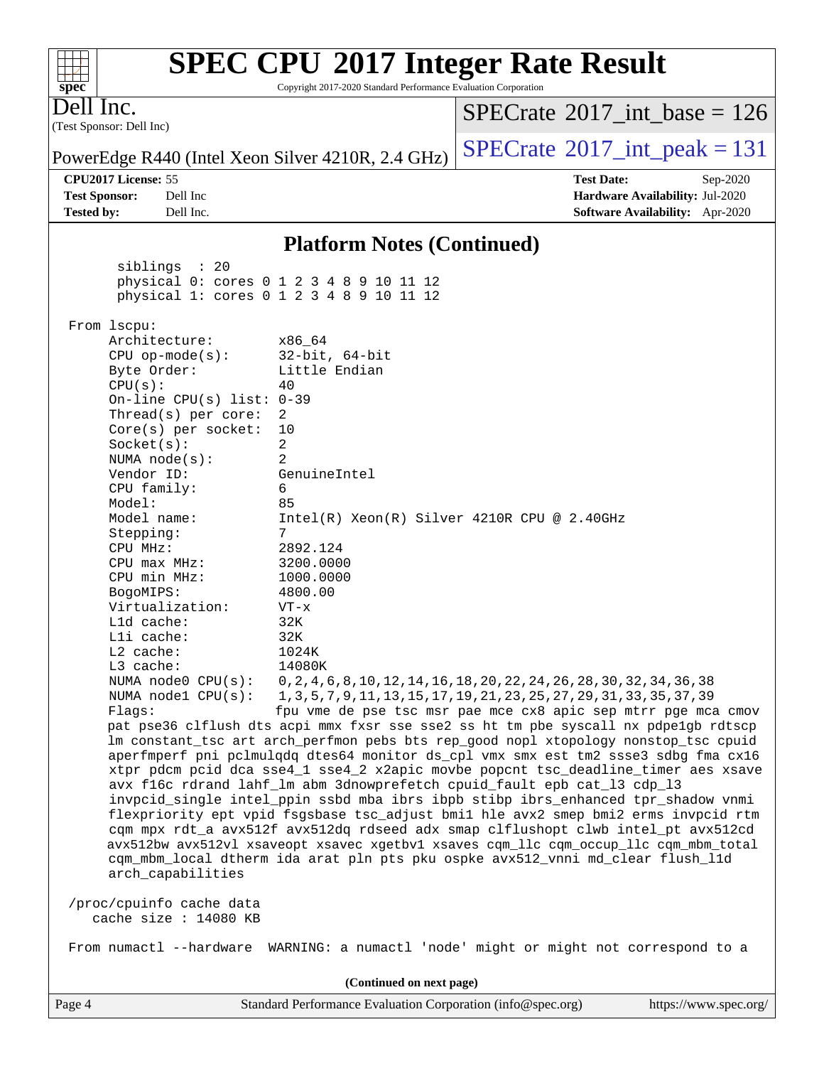#### **[spec](http://www.spec.org/) [SPEC CPU](http://www.spec.org/auto/cpu2017/Docs/result-fields.html#SPECCPU2017IntegerRateResult)[2017 Integer Rate Result](http://www.spec.org/auto/cpu2017/Docs/result-fields.html#SPECCPU2017IntegerRateResult)** Copyright 2017-2020 Standard Performance Evaluation Corporation (Test Sponsor: Dell Inc) Dell Inc. PowerEdge R440 (Intel Xeon Silver 4210R, 2.4 GHz)  $\left|$  [SPECrate](http://www.spec.org/auto/cpu2017/Docs/result-fields.html#SPECrate2017intpeak)<sup>®</sup>[2017\\_int\\_peak = 1](http://www.spec.org/auto/cpu2017/Docs/result-fields.html#SPECrate2017intpeak)31  $SPECTate$ <sup>®</sup>[2017\\_int\\_base =](http://www.spec.org/auto/cpu2017/Docs/result-fields.html#SPECrate2017intbase) 126 **[CPU2017 License:](http://www.spec.org/auto/cpu2017/Docs/result-fields.html#CPU2017License)** 55 **[Test Date:](http://www.spec.org/auto/cpu2017/Docs/result-fields.html#TestDate)** Sep-2020 **[Test Sponsor:](http://www.spec.org/auto/cpu2017/Docs/result-fields.html#TestSponsor)** Dell Inc **[Hardware Availability:](http://www.spec.org/auto/cpu2017/Docs/result-fields.html#HardwareAvailability)** Jul-2020 **[Tested by:](http://www.spec.org/auto/cpu2017/Docs/result-fields.html#Testedby)** Dell Inc. **[Software Availability:](http://www.spec.org/auto/cpu2017/Docs/result-fields.html#SoftwareAvailability)** Apr-2020 **[Platform Notes \(Continued\)](http://www.spec.org/auto/cpu2017/Docs/result-fields.html#PlatformNotes)** siblings : 20 physical 0: cores 0 1 2 3 4 8 9 10 11 12 physical 1: cores 0 1 2 3 4 8 9 10 11 12 From lscpu: Architecture: x86\_64 CPU op-mode(s): 32-bit, 64-bit Byte Order: Little Endian  $CPU(s):$  40 On-line CPU(s) list: 0-39 Thread(s) per core: 2 Core(s) per socket: 10 Socket(s): 2 NUMA node(s): 2 Vendor ID: GenuineIntel CPU family: 6 Model: 85 Model name: Intel(R) Xeon(R) Silver 4210R CPU @ 2.40GHz Stepping: 7 CPU MHz: 2892.124 CPU max MHz: 3200.0000 CPU min MHz: 1000.0000 BogoMIPS: 4800.00 Virtualization: VT-x L1d cache: 32K L1i cache: 32K<br>
L2 cache: 1024K  $L2$  cache: L3 cache: 14080K NUMA node0 CPU(s): 0,2,4,6,8,10,12,14,16,18,20,22,24,26,28,30,32,34,36,38 NUMA node1 CPU(s): 1,3,5,7,9,11,13,15,17,19,21,23,25,27,29,31,33,35,37,39 Flags: fpu vme de pse tsc msr pae mce cx8 apic sep mtrr pge mca cmov pat pse36 clflush dts acpi mmx fxsr sse sse2 ss ht tm pbe syscall nx pdpe1gb rdtscp lm constant\_tsc art arch\_perfmon pebs bts rep\_good nopl xtopology nonstop\_tsc cpuid aperfmperf pni pclmulqdq dtes64 monitor ds\_cpl vmx smx est tm2 ssse3 sdbg fma cx16 xtpr pdcm pcid dca sse4\_1 sse4\_2 x2apic movbe popcnt tsc\_deadline\_timer aes xsave avx f16c rdrand lahf\_lm abm 3dnowprefetch cpuid\_fault epb cat\_l3 cdp\_l3 invpcid\_single intel\_ppin ssbd mba ibrs ibpb stibp ibrs\_enhanced tpr\_shadow vnmi flexpriority ept vpid fsgsbase tsc\_adjust bmi1 hle avx2 smep bmi2 erms invpcid rtm cqm mpx rdt\_a avx512f avx512dq rdseed adx smap clflushopt clwb intel\_pt avx512cd avx512bw avx512vl xsaveopt xsavec xgetbv1 xsaves cqm\_llc cqm\_occup\_llc cqm\_mbm\_total cqm\_mbm\_local dtherm ida arat pln pts pku ospke avx512\_vnni md\_clear flush\_l1d arch\_capabilities /proc/cpuinfo cache data cache size : 14080 KB From numactl --hardware WARNING: a numactl 'node' might or might not correspond to a **(Continued on next page)**

 $+\!\!+\!\!$ 

Page 4 Standard Performance Evaluation Corporation [\(info@spec.org\)](mailto:info@spec.org) <https://www.spec.org/>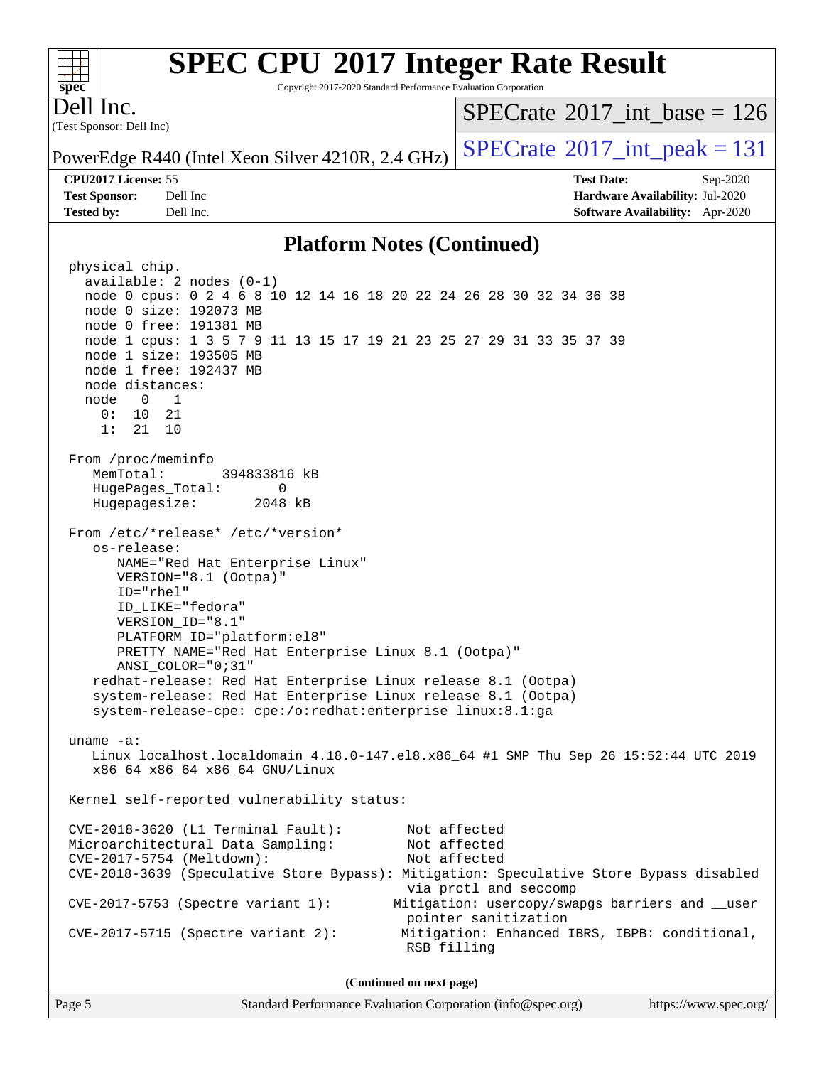# **[SPEC CPU](http://www.spec.org/auto/cpu2017/Docs/result-fields.html#SPECCPU2017IntegerRateResult)[2017 Integer Rate Result](http://www.spec.org/auto/cpu2017/Docs/result-fields.html#SPECCPU2017IntegerRateResult)**

Copyright 2017-2020 Standard Performance Evaluation Corporation

(Test Sponsor: Dell Inc) Dell Inc.

**[spec](http://www.spec.org/)**

 $+\ +$ 

 $SPECrate$ <sup>®</sup>[2017\\_int\\_base =](http://www.spec.org/auto/cpu2017/Docs/result-fields.html#SPECrate2017intbase) 126

PowerEdge R440 (Intel Xeon Silver 4210R, 2.4 GHz)  $\left|$  [SPECrate](http://www.spec.org/auto/cpu2017/Docs/result-fields.html#SPECrate2017intpeak)<sup>®</sup>[2017\\_int\\_peak = 1](http://www.spec.org/auto/cpu2017/Docs/result-fields.html#SPECrate2017intpeak)31

**[CPU2017 License:](http://www.spec.org/auto/cpu2017/Docs/result-fields.html#CPU2017License)** 55 **[Test Date:](http://www.spec.org/auto/cpu2017/Docs/result-fields.html#TestDate)** Sep-2020

**[Test Sponsor:](http://www.spec.org/auto/cpu2017/Docs/result-fields.html#TestSponsor)** Dell Inc **[Hardware Availability:](http://www.spec.org/auto/cpu2017/Docs/result-fields.html#HardwareAvailability)** Jul-2020 **[Tested by:](http://www.spec.org/auto/cpu2017/Docs/result-fields.html#Testedby)** Dell Inc. **[Software Availability:](http://www.spec.org/auto/cpu2017/Docs/result-fields.html#SoftwareAvailability)** Apr-2020

#### **[Platform Notes \(Continued\)](http://www.spec.org/auto/cpu2017/Docs/result-fields.html#PlatformNotes)**

 physical chip. available: 2 nodes (0-1) node 0 cpus: 0 2 4 6 8 10 12 14 16 18 20 22 24 26 28 30 32 34 36 38 node 0 size: 192073 MB node 0 free: 191381 MB node 1 cpus: 1 3 5 7 9 11 13 15 17 19 21 23 25 27 29 31 33 35 37 39 node 1 size: 193505 MB node 1 free: 192437 MB node distances: node 0 1 0: 10 21 1: 21 10 From /proc/meminfo MemTotal: 394833816 kB HugePages\_Total: 0 Hugepagesize: 2048 kB From /etc/\*release\* /etc/\*version\* os-release: NAME="Red Hat Enterprise Linux" VERSION="8.1 (Ootpa)" ID="rhel" ID\_LIKE="fedora" VERSION\_ID="8.1" PLATFORM\_ID="platform:el8" PRETTY\_NAME="Red Hat Enterprise Linux 8.1 (Ootpa)" ANSI\_COLOR="0;31" redhat-release: Red Hat Enterprise Linux release 8.1 (Ootpa) system-release: Red Hat Enterprise Linux release 8.1 (Ootpa) system-release-cpe: cpe:/o:redhat:enterprise\_linux:8.1:ga uname -a: Linux localhost.localdomain 4.18.0-147.el8.x86\_64 #1 SMP Thu Sep 26 15:52:44 UTC 2019 x86\_64 x86\_64 x86\_64 GNU/Linux Kernel self-reported vulnerability status: CVE-2018-3620 (L1 Terminal Fault): Not affected Microarchitectural Data Sampling: Not affected CVE-2017-5754 (Meltdown): Not affected CVE-2018-3639 (Speculative Store Bypass): Mitigation: Speculative Store Bypass disabled via prctl and seccomp CVE-2017-5753 (Spectre variant 1): Mitigation: usercopy/swapgs barriers and \_\_user pointer sanitization CVE-2017-5715 (Spectre variant 2): Mitigation: Enhanced IBRS, IBPB: conditional, RSB filling **(Continued on next page)**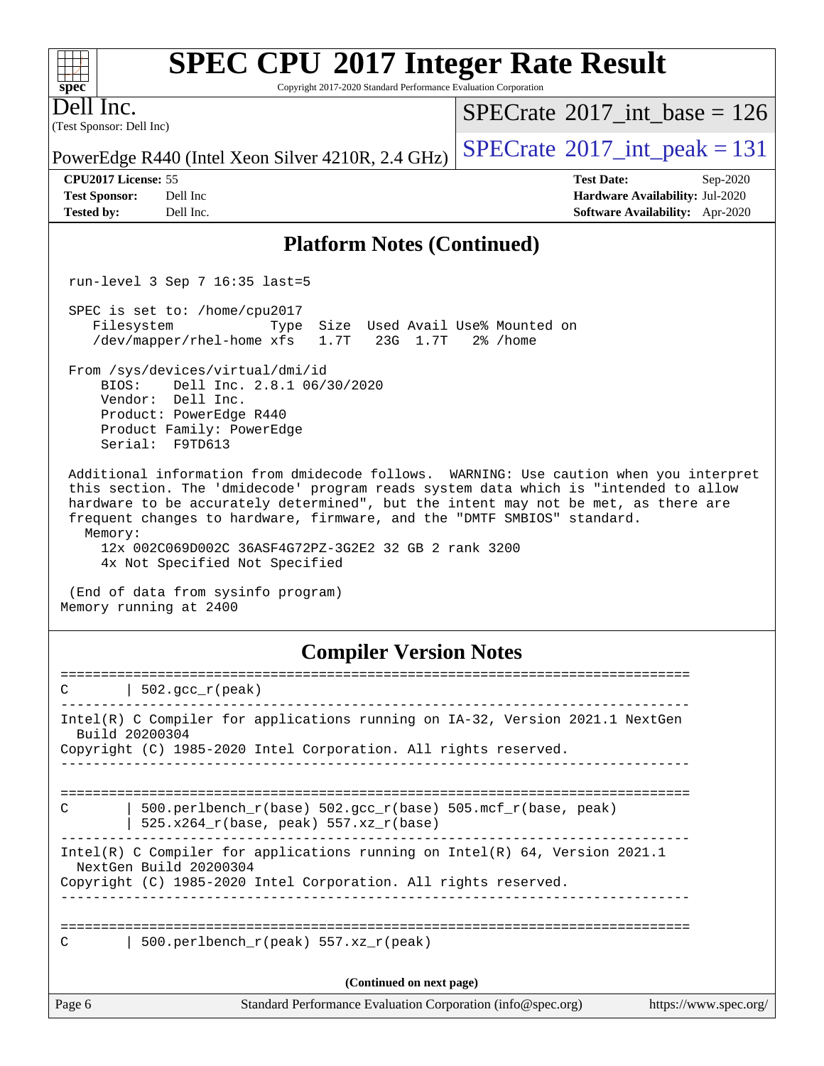# **[SPEC CPU](http://www.spec.org/auto/cpu2017/Docs/result-fields.html#SPECCPU2017IntegerRateResult)[2017 Integer Rate Result](http://www.spec.org/auto/cpu2017/Docs/result-fields.html#SPECCPU2017IntegerRateResult)**

Copyright 2017-2020 Standard Performance Evaluation Corporation

(Test Sponsor: Dell Inc) Dell Inc.

 $SPECTate@2017_int\_base = 126$ 

**[CPU2017 License:](http://www.spec.org/auto/cpu2017/Docs/result-fields.html#CPU2017License)** 55 **[Test Date:](http://www.spec.org/auto/cpu2017/Docs/result-fields.html#TestDate)** Sep-2020

PowerEdge R440 (Intel Xeon Silver 4210R, 2.4 GHz)  $\left|$  [SPECrate](http://www.spec.org/auto/cpu2017/Docs/result-fields.html#SPECrate2017intpeak)<sup>®</sup>[2017\\_int\\_peak = 1](http://www.spec.org/auto/cpu2017/Docs/result-fields.html#SPECrate2017intpeak)31

**[Test Sponsor:](http://www.spec.org/auto/cpu2017/Docs/result-fields.html#TestSponsor)** Dell Inc **[Hardware Availability:](http://www.spec.org/auto/cpu2017/Docs/result-fields.html#HardwareAvailability)** Jul-2020 **[Tested by:](http://www.spec.org/auto/cpu2017/Docs/result-fields.html#Testedby)** Dell Inc. **[Software Availability:](http://www.spec.org/auto/cpu2017/Docs/result-fields.html#SoftwareAvailability)** Apr-2020

#### **[Platform Notes \(Continued\)](http://www.spec.org/auto/cpu2017/Docs/result-fields.html#PlatformNotes)**

run-level 3 Sep 7 16:35 last=5

 SPEC is set to: /home/cpu2017 Filesystem Type Size Used Avail Use% Mounted on /dev/mapper/rhel-home xfs 1.7T 23G 1.7T 2% /home

 From /sys/devices/virtual/dmi/id BIOS: Dell Inc. 2.8.1 06/30/2020

 Vendor: Dell Inc. Product: PowerEdge R440 Product Family: PowerEdge Serial: F9TD613

 Additional information from dmidecode follows. WARNING: Use caution when you interpret this section. The 'dmidecode' program reads system data which is "intended to allow hardware to be accurately determined", but the intent may not be met, as there are frequent changes to hardware, firmware, and the "DMTF SMBIOS" standard. Memory:

 12x 002C069D002C 36ASF4G72PZ-3G2E2 32 GB 2 rank 3200 4x Not Specified Not Specified

 (End of data from sysinfo program) Memory running at 2400

#### **[Compiler Version Notes](http://www.spec.org/auto/cpu2017/Docs/result-fields.html#CompilerVersionNotes)**

| $\mathcal{C}$ | $\vert$ 502.gcc_r(peak)                                                                                                                                                     |                       |
|---------------|-----------------------------------------------------------------------------------------------------------------------------------------------------------------------------|-----------------------|
|               | Intel(R) C Compiler for applications running on IA-32, Version 2021.1 NextGen<br>Build 20200304                                                                             |                       |
|               | Copyright (C) 1985-2020 Intel Corporation. All rights reserved.                                                                                                             |                       |
| $\mathcal{C}$ | 500.perlbench $r(base)$ 502.qcc $r(base)$ 505.mcf $r(base, peak)$<br>$525.x264_r(base, peak) 557.xz_r(base)$                                                                |                       |
|               | Intel(R) C Compiler for applications running on Intel(R) $64$ , Version 2021.1<br>NextGen Build 20200304<br>Copyright (C) 1985-2020 Intel Corporation. All rights reserved. |                       |
| $\mathcal{C}$ | 500.perlbench $r(\text{peak})$ 557.xz $r(\text{peak})$                                                                                                                      |                       |
|               | (Continued on next page)                                                                                                                                                    |                       |
| Page 6        | Standard Performance Evaluation Corporation (info@spec.org)                                                                                                                 | https://www.spec.org/ |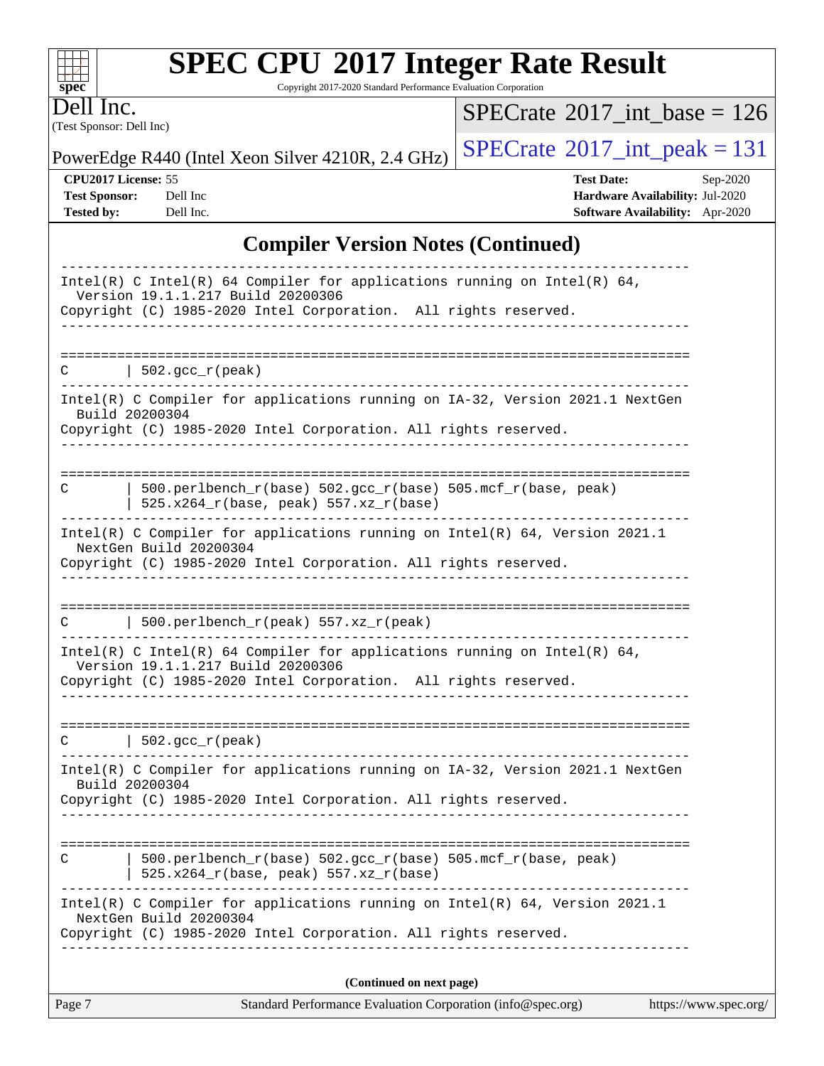# **[SPEC CPU](http://www.spec.org/auto/cpu2017/Docs/result-fields.html#SPECCPU2017IntegerRateResult)[2017 Integer Rate Result](http://www.spec.org/auto/cpu2017/Docs/result-fields.html#SPECCPU2017IntegerRateResult)**

Copyright 2017-2020 Standard Performance Evaluation Corporation

(Test Sponsor: Dell Inc) Dell Inc.

**[spec](http://www.spec.org/)**

 $\pm\pm\prime$ 

 $SPECrate$ <sup>®</sup>[2017\\_int\\_base =](http://www.spec.org/auto/cpu2017/Docs/result-fields.html#SPECrate2017intbase) 126

PowerEdge R440 (Intel Xeon Silver 4210R, 2.4 GHz)  $\left|$  [SPECrate](http://www.spec.org/auto/cpu2017/Docs/result-fields.html#SPECrate2017intpeak)®[2017\\_int\\_peak = 1](http://www.spec.org/auto/cpu2017/Docs/result-fields.html#SPECrate2017intpeak)31

**[CPU2017 License:](http://www.spec.org/auto/cpu2017/Docs/result-fields.html#CPU2017License)** 55 **[Test Date:](http://www.spec.org/auto/cpu2017/Docs/result-fields.html#TestDate)** Sep-2020 **[Test Sponsor:](http://www.spec.org/auto/cpu2017/Docs/result-fields.html#TestSponsor)** Dell Inc **[Hardware Availability:](http://www.spec.org/auto/cpu2017/Docs/result-fields.html#HardwareAvailability)** Jul-2020 **[Tested by:](http://www.spec.org/auto/cpu2017/Docs/result-fields.html#Testedby)** Dell Inc. **[Software Availability:](http://www.spec.org/auto/cpu2017/Docs/result-fields.html#SoftwareAvailability)** Apr-2020

#### **[Compiler Version Notes \(Continued\)](http://www.spec.org/auto/cpu2017/Docs/result-fields.html#CompilerVersionNotes)**

| Standard Performance Evaluation Corporation (info@spec.org)<br>https://www.spec.org/<br>Page 7                                                                                                                      |  |
|---------------------------------------------------------------------------------------------------------------------------------------------------------------------------------------------------------------------|--|
| (Continued on next page)                                                                                                                                                                                            |  |
| NextGen Build 20200304<br>Copyright (C) 1985-2020 Intel Corporation. All rights reserved.                                                                                                                           |  |
| 500.perlbench_r(base) 502.gcc_r(base) 505.mcf_r(base, peak)<br>525.x264_r(base, peak) 557.xz_r(base)<br>Intel(R) C Compiler for applications running on $Intel(R) 64$ , Version 2021.1                              |  |
|                                                                                                                                                                                                                     |  |
| Intel(R) C Compiler for applications running on IA-32, Version 2021.1 NextGen<br>Build 20200304<br>Copyright (C) 1985-2020 Intel Corporation. All rights reserved.                                                  |  |
| $C$   502.gcc_r(peak)                                                                                                                                                                                               |  |
| Intel(R) C Intel(R) 64 Compiler for applications running on Intel(R) 64,<br>Version 19.1.1.217 Build 20200306<br>Copyright (C) 1985-2020 Intel Corporation. All rights reserved.<br>. _ _ _ _ _ _ _ _ _ _ _ _ _ _ _ |  |
| $C$   500.perlbench_r(peak) 557.xz_r(peak)                                                                                                                                                                          |  |
| Copyright (C) 1985-2020 Intel Corporation. All rights reserved.                                                                                                                                                     |  |
| Intel(R) C Compiler for applications running on $Intel(R) 64$ , Version 2021.1<br>NextGen Build 20200304                                                                                                            |  |
| 500.perlbench_r(base) 502.gcc_r(base) 505.mcf_r(base, peak)<br>C<br>525.x264_r(base, peak) 557.xz_r(base)                                                                                                           |  |
| Intel(R) C Compiler for applications running on IA-32, Version 2021.1 NextGen<br>Build 20200304<br>Copyright (C) 1985-2020 Intel Corporation. All rights reserved.                                                  |  |
| $\vert$ 502.gcc_r(peak)<br>C                                                                                                                                                                                        |  |
| -----------                                                                                                                                                                                                         |  |
| Intel(R) C Intel(R) 64 Compiler for applications running on Intel(R) 64,<br>Version 19.1.1.217 Build 20200306<br>Copyright (C) 1985-2020 Intel Corporation. All rights reserved.                                    |  |
|                                                                                                                                                                                                                     |  |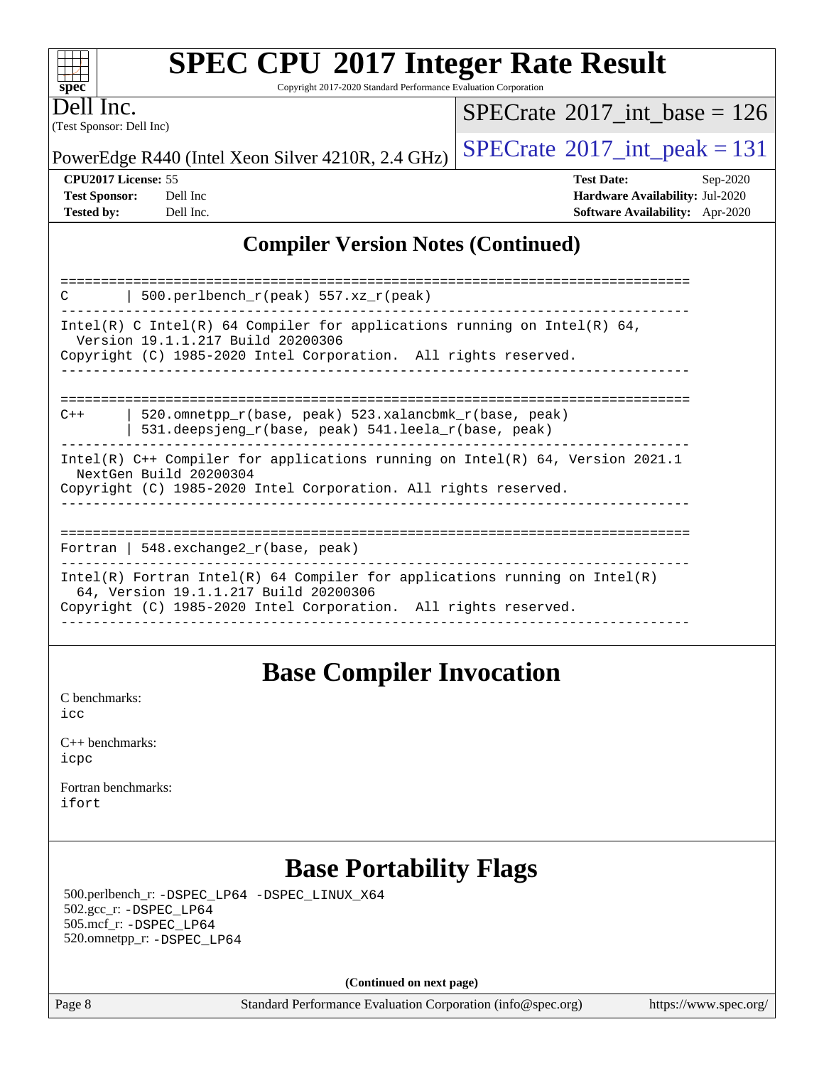# **[SPEC CPU](http://www.spec.org/auto/cpu2017/Docs/result-fields.html#SPECCPU2017IntegerRateResult)[2017 Integer Rate Result](http://www.spec.org/auto/cpu2017/Docs/result-fields.html#SPECCPU2017IntegerRateResult)**

Copyright 2017-2020 Standard Performance Evaluation Corporation

(Test Sponsor: Dell Inc) Dell Inc.

 $SPECTate@2017_int\_base = 126$ 

PowerEdge R440 (Intel Xeon Silver 4210R, 2.4 GHz)  $\left|$  [SPECrate](http://www.spec.org/auto/cpu2017/Docs/result-fields.html#SPECrate2017intpeak)<sup>®</sup>[2017\\_int\\_peak = 1](http://www.spec.org/auto/cpu2017/Docs/result-fields.html#SPECrate2017intpeak)31

**[CPU2017 License:](http://www.spec.org/auto/cpu2017/Docs/result-fields.html#CPU2017License)** 55 **[Test Date:](http://www.spec.org/auto/cpu2017/Docs/result-fields.html#TestDate)** Sep-2020 **[Test Sponsor:](http://www.spec.org/auto/cpu2017/Docs/result-fields.html#TestSponsor)** Dell Inc **[Hardware Availability:](http://www.spec.org/auto/cpu2017/Docs/result-fields.html#HardwareAvailability)** Jul-2020 **[Tested by:](http://www.spec.org/auto/cpu2017/Docs/result-fields.html#Testedby)** Dell Inc. **[Software Availability:](http://www.spec.org/auto/cpu2017/Docs/result-fields.html#SoftwareAvailability)** Apr-2020

### **[Compiler Version Notes \(Continued\)](http://www.spec.org/auto/cpu2017/Docs/result-fields.html#CompilerVersionNotes)**

| 500.perlbench_r(peak) 557.xz_r(peak)<br>C                                                                                                                                              |  |  |  |  |  |
|----------------------------------------------------------------------------------------------------------------------------------------------------------------------------------------|--|--|--|--|--|
| Intel(R) C Intel(R) 64 Compiler for applications running on Intel(R) 64,<br>Version 19.1.1.217 Build 20200306<br>Copyright (C) 1985-2020 Intel Corporation. All rights reserved.       |  |  |  |  |  |
|                                                                                                                                                                                        |  |  |  |  |  |
| 520.omnetpp r(base, peak) 523.xalancbmk r(base, peak)<br>$C++$<br>531.deepsjeng $r(base, peak)$ 541.leela $r(base, peak)$                                                              |  |  |  |  |  |
| Intel(R) $C++$ Compiler for applications running on Intel(R) 64, Version 2021.1<br>NextGen Build 20200304                                                                              |  |  |  |  |  |
| Copyright (C) 1985-2020 Intel Corporation. All rights reserved.                                                                                                                        |  |  |  |  |  |
| Fortran   548. $exchange2 r(base, peak)$                                                                                                                                               |  |  |  |  |  |
| Intel(R) Fortran Intel(R) 64 Compiler for applications running on Intel(R)<br>64, Version 19.1.1.217 Build 20200306<br>Copyright (C) 1985-2020 Intel Corporation. All rights reserved. |  |  |  |  |  |
|                                                                                                                                                                                        |  |  |  |  |  |

### **[Base Compiler Invocation](http://www.spec.org/auto/cpu2017/Docs/result-fields.html#BaseCompilerInvocation)**

[C benchmarks](http://www.spec.org/auto/cpu2017/Docs/result-fields.html#Cbenchmarks): [icc](http://www.spec.org/cpu2017/results/res2020q4/cpu2017-20200928-24074.flags.html#user_CCbase_intel_icc_66fc1ee009f7361af1fbd72ca7dcefbb700085f36577c54f309893dd4ec40d12360134090235512931783d35fd58c0460139e722d5067c5574d8eaf2b3e37e92)

| $C_{++}$ benchmarks: |  |
|----------------------|--|
| icpc                 |  |

[Fortran benchmarks](http://www.spec.org/auto/cpu2017/Docs/result-fields.html#Fortranbenchmarks): [ifort](http://www.spec.org/cpu2017/results/res2020q4/cpu2017-20200928-24074.flags.html#user_FCbase_intel_ifort_8111460550e3ca792625aed983ce982f94888b8b503583aa7ba2b8303487b4d8a21a13e7191a45c5fd58ff318f48f9492884d4413fa793fd88dd292cad7027ca)

### **[Base Portability Flags](http://www.spec.org/auto/cpu2017/Docs/result-fields.html#BasePortabilityFlags)**

 500.perlbench\_r: [-DSPEC\\_LP64](http://www.spec.org/cpu2017/results/res2020q4/cpu2017-20200928-24074.flags.html#b500.perlbench_r_basePORTABILITY_DSPEC_LP64) [-DSPEC\\_LINUX\\_X64](http://www.spec.org/cpu2017/results/res2020q4/cpu2017-20200928-24074.flags.html#b500.perlbench_r_baseCPORTABILITY_DSPEC_LINUX_X64) 502.gcc\_r: [-DSPEC\\_LP64](http://www.spec.org/cpu2017/results/res2020q4/cpu2017-20200928-24074.flags.html#suite_basePORTABILITY502_gcc_r_DSPEC_LP64) 505.mcf\_r: [-DSPEC\\_LP64](http://www.spec.org/cpu2017/results/res2020q4/cpu2017-20200928-24074.flags.html#suite_basePORTABILITY505_mcf_r_DSPEC_LP64) 520.omnetpp\_r: [-DSPEC\\_LP64](http://www.spec.org/cpu2017/results/res2020q4/cpu2017-20200928-24074.flags.html#suite_basePORTABILITY520_omnetpp_r_DSPEC_LP64)

**(Continued on next page)**

Page 8 Standard Performance Evaluation Corporation [\(info@spec.org\)](mailto:info@spec.org) <https://www.spec.org/>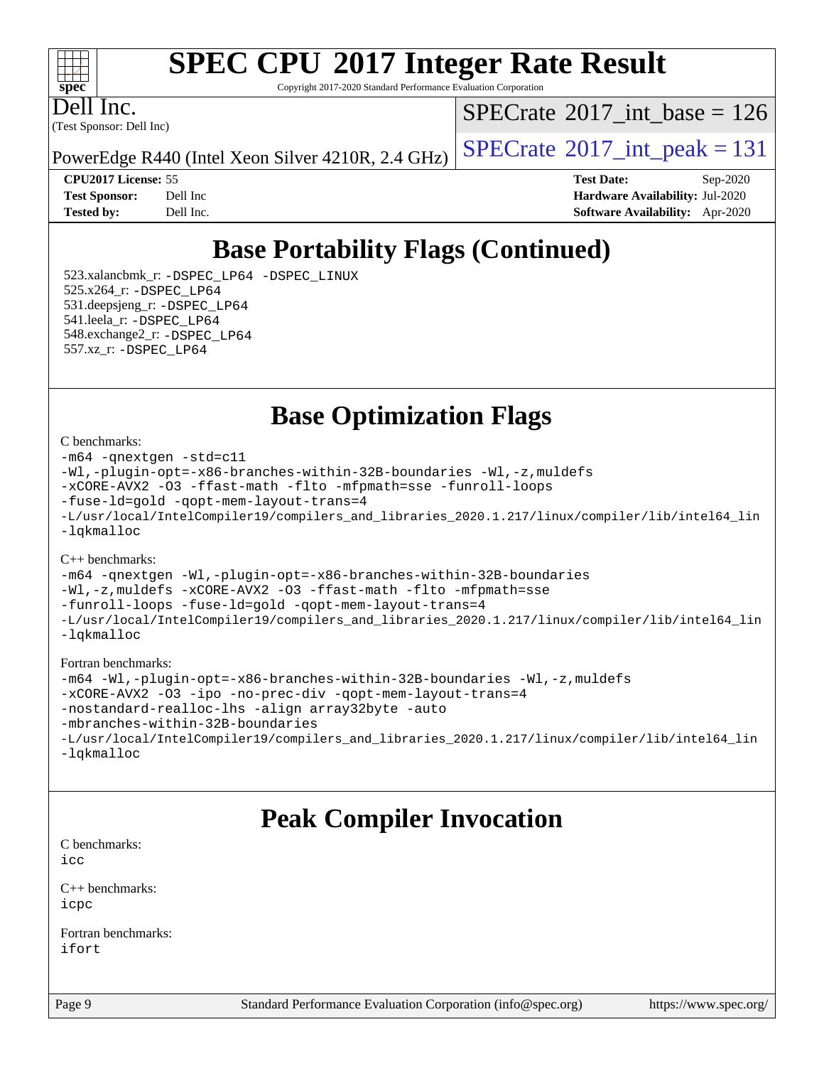# **[SPEC CPU](http://www.spec.org/auto/cpu2017/Docs/result-fields.html#SPECCPU2017IntegerRateResult)[2017 Integer Rate Result](http://www.spec.org/auto/cpu2017/Docs/result-fields.html#SPECCPU2017IntegerRateResult)**

Copyright 2017-2020 Standard Performance Evaluation Corporation

(Test Sponsor: Dell Inc) Dell Inc.

 $SPECTate@2017_int\_base = 126$ 

PowerEdge R440 (Intel Xeon Silver 4210R, 2.4 GHz)  $\left|$  [SPECrate](http://www.spec.org/auto/cpu2017/Docs/result-fields.html#SPECrate2017intpeak)<sup>®</sup>[2017\\_int\\_peak = 1](http://www.spec.org/auto/cpu2017/Docs/result-fields.html#SPECrate2017intpeak)31

**[CPU2017 License:](http://www.spec.org/auto/cpu2017/Docs/result-fields.html#CPU2017License)** 55 **[Test Date:](http://www.spec.org/auto/cpu2017/Docs/result-fields.html#TestDate)** Sep-2020 **[Test Sponsor:](http://www.spec.org/auto/cpu2017/Docs/result-fields.html#TestSponsor)** Dell Inc **[Hardware Availability:](http://www.spec.org/auto/cpu2017/Docs/result-fields.html#HardwareAvailability)** Jul-2020 **[Tested by:](http://www.spec.org/auto/cpu2017/Docs/result-fields.html#Testedby)** Dell Inc. **[Software Availability:](http://www.spec.org/auto/cpu2017/Docs/result-fields.html#SoftwareAvailability)** Apr-2020

### **[Base Portability Flags \(Continued\)](http://www.spec.org/auto/cpu2017/Docs/result-fields.html#BasePortabilityFlags)**

 523.xalancbmk\_r: [-DSPEC\\_LP64](http://www.spec.org/cpu2017/results/res2020q4/cpu2017-20200928-24074.flags.html#suite_basePORTABILITY523_xalancbmk_r_DSPEC_LP64) [-DSPEC\\_LINUX](http://www.spec.org/cpu2017/results/res2020q4/cpu2017-20200928-24074.flags.html#b523.xalancbmk_r_baseCXXPORTABILITY_DSPEC_LINUX) 525.x264\_r: [-DSPEC\\_LP64](http://www.spec.org/cpu2017/results/res2020q4/cpu2017-20200928-24074.flags.html#suite_basePORTABILITY525_x264_r_DSPEC_LP64) 531.deepsjeng\_r: [-DSPEC\\_LP64](http://www.spec.org/cpu2017/results/res2020q4/cpu2017-20200928-24074.flags.html#suite_basePORTABILITY531_deepsjeng_r_DSPEC_LP64) 541.leela\_r: [-DSPEC\\_LP64](http://www.spec.org/cpu2017/results/res2020q4/cpu2017-20200928-24074.flags.html#suite_basePORTABILITY541_leela_r_DSPEC_LP64) 548.exchange2\_r: [-DSPEC\\_LP64](http://www.spec.org/cpu2017/results/res2020q4/cpu2017-20200928-24074.flags.html#suite_basePORTABILITY548_exchange2_r_DSPEC_LP64) 557.xz\_r: [-DSPEC\\_LP64](http://www.spec.org/cpu2017/results/res2020q4/cpu2017-20200928-24074.flags.html#suite_basePORTABILITY557_xz_r_DSPEC_LP64)

**[Base Optimization Flags](http://www.spec.org/auto/cpu2017/Docs/result-fields.html#BaseOptimizationFlags)**

[C benchmarks](http://www.spec.org/auto/cpu2017/Docs/result-fields.html#Cbenchmarks):

```
-m64 -qnextgen -std=c11
-Wl,-plugin-opt=-x86-branches-within-32B-boundaries -Wl,-z,muldefs
-xCORE-AVX2 -O3 -ffast-math -flto -mfpmath=sse -funroll-loops
-fuse-ld=gold -qopt-mem-layout-trans=4
-L/usr/local/IntelCompiler19/compilers_and_libraries_2020.1.217/linux/compiler/lib/intel64_lin
-lqkmalloc
```
[C++ benchmarks](http://www.spec.org/auto/cpu2017/Docs/result-fields.html#CXXbenchmarks):

[-m64](http://www.spec.org/cpu2017/results/res2020q4/cpu2017-20200928-24074.flags.html#user_CXXbase_m64-icc) [-qnextgen](http://www.spec.org/cpu2017/results/res2020q4/cpu2017-20200928-24074.flags.html#user_CXXbase_f-qnextgen) [-Wl,-plugin-opt=-x86-branches-within-32B-boundaries](http://www.spec.org/cpu2017/results/res2020q4/cpu2017-20200928-24074.flags.html#user_CXXbase_f-x86-branches-within-32B-boundaries_0098b4e4317ae60947b7b728078a624952a08ac37a3c797dfb4ffeb399e0c61a9dd0f2f44ce917e9361fb9076ccb15e7824594512dd315205382d84209e912f3) [-Wl,-z,muldefs](http://www.spec.org/cpu2017/results/res2020q4/cpu2017-20200928-24074.flags.html#user_CXXbase_link_force_multiple1_b4cbdb97b34bdee9ceefcfe54f4c8ea74255f0b02a4b23e853cdb0e18eb4525ac79b5a88067c842dd0ee6996c24547a27a4b99331201badda8798ef8a743f577) [-xCORE-AVX2](http://www.spec.org/cpu2017/results/res2020q4/cpu2017-20200928-24074.flags.html#user_CXXbase_f-xCORE-AVX2) [-O3](http://www.spec.org/cpu2017/results/res2020q4/cpu2017-20200928-24074.flags.html#user_CXXbase_f-O3) [-ffast-math](http://www.spec.org/cpu2017/results/res2020q4/cpu2017-20200928-24074.flags.html#user_CXXbase_f-ffast-math) [-flto](http://www.spec.org/cpu2017/results/res2020q4/cpu2017-20200928-24074.flags.html#user_CXXbase_f-flto) [-mfpmath=sse](http://www.spec.org/cpu2017/results/res2020q4/cpu2017-20200928-24074.flags.html#user_CXXbase_f-mfpmath_70eb8fac26bde974f8ab713bc9086c5621c0b8d2f6c86f38af0bd7062540daf19db5f3a066d8c6684be05d84c9b6322eb3b5be6619d967835195b93d6c02afa1) [-funroll-loops](http://www.spec.org/cpu2017/results/res2020q4/cpu2017-20200928-24074.flags.html#user_CXXbase_f-funroll-loops) [-fuse-ld=gold](http://www.spec.org/cpu2017/results/res2020q4/cpu2017-20200928-24074.flags.html#user_CXXbase_f-fuse-ld_920b3586e2b8c6e0748b9c84fa9b744736ba725a32cab14ad8f3d4ad28eecb2f59d1144823d2e17006539a88734fe1fc08fc3035f7676166309105a78aaabc32) [-qopt-mem-layout-trans=4](http://www.spec.org/cpu2017/results/res2020q4/cpu2017-20200928-24074.flags.html#user_CXXbase_f-qopt-mem-layout-trans_fa39e755916c150a61361b7846f310bcdf6f04e385ef281cadf3647acec3f0ae266d1a1d22d972a7087a248fd4e6ca390a3634700869573d231a252c784941a8) [-L/usr/local/IntelCompiler19/compilers\\_and\\_libraries\\_2020.1.217/linux/compiler/lib/intel64\\_lin](http://www.spec.org/cpu2017/results/res2020q4/cpu2017-20200928-24074.flags.html#user_CXXbase_linkpath_2cb6f503891ebf8baee7515f4e7d4ec1217444d1d05903cc0091ac4158de400651d2b2313a9fa414cb8a8f0e16ab029634f5c6db340f400369c190d4db8a54a0) [-lqkmalloc](http://www.spec.org/cpu2017/results/res2020q4/cpu2017-20200928-24074.flags.html#user_CXXbase_qkmalloc_link_lib_79a818439969f771c6bc311cfd333c00fc099dad35c030f5aab9dda831713d2015205805422f83de8875488a2991c0a156aaa600e1f9138f8fc37004abc96dc5)

#### [Fortran benchmarks:](http://www.spec.org/auto/cpu2017/Docs/result-fields.html#Fortranbenchmarks)

```
-m64 -Wl,-plugin-opt=-x86-branches-within-32B-boundaries -Wl,-z,muldefs
-xCORE-AVX2 -O3 -ipo -no-prec-div -qopt-mem-layout-trans=4
-nostandard-realloc-lhs -align array32byte -auto
-mbranches-within-32B-boundaries
-L/usr/local/IntelCompiler19/compilers_and_libraries_2020.1.217/linux/compiler/lib/intel64_lin
-lqkmalloc
```
### **[Peak Compiler Invocation](http://www.spec.org/auto/cpu2017/Docs/result-fields.html#PeakCompilerInvocation)**

[C benchmarks](http://www.spec.org/auto/cpu2017/Docs/result-fields.html#Cbenchmarks): [icc](http://www.spec.org/cpu2017/results/res2020q4/cpu2017-20200928-24074.flags.html#user_CCpeak_intel_icc_66fc1ee009f7361af1fbd72ca7dcefbb700085f36577c54f309893dd4ec40d12360134090235512931783d35fd58c0460139e722d5067c5574d8eaf2b3e37e92)

[C++ benchmarks:](http://www.spec.org/auto/cpu2017/Docs/result-fields.html#CXXbenchmarks) [icpc](http://www.spec.org/cpu2017/results/res2020q4/cpu2017-20200928-24074.flags.html#user_CXXpeak_intel_icpc_c510b6838c7f56d33e37e94d029a35b4a7bccf4766a728ee175e80a419847e808290a9b78be685c44ab727ea267ec2f070ec5dc83b407c0218cded6866a35d07)

[Fortran benchmarks](http://www.spec.org/auto/cpu2017/Docs/result-fields.html#Fortranbenchmarks): [ifort](http://www.spec.org/cpu2017/results/res2020q4/cpu2017-20200928-24074.flags.html#user_FCpeak_intel_ifort_8111460550e3ca792625aed983ce982f94888b8b503583aa7ba2b8303487b4d8a21a13e7191a45c5fd58ff318f48f9492884d4413fa793fd88dd292cad7027ca)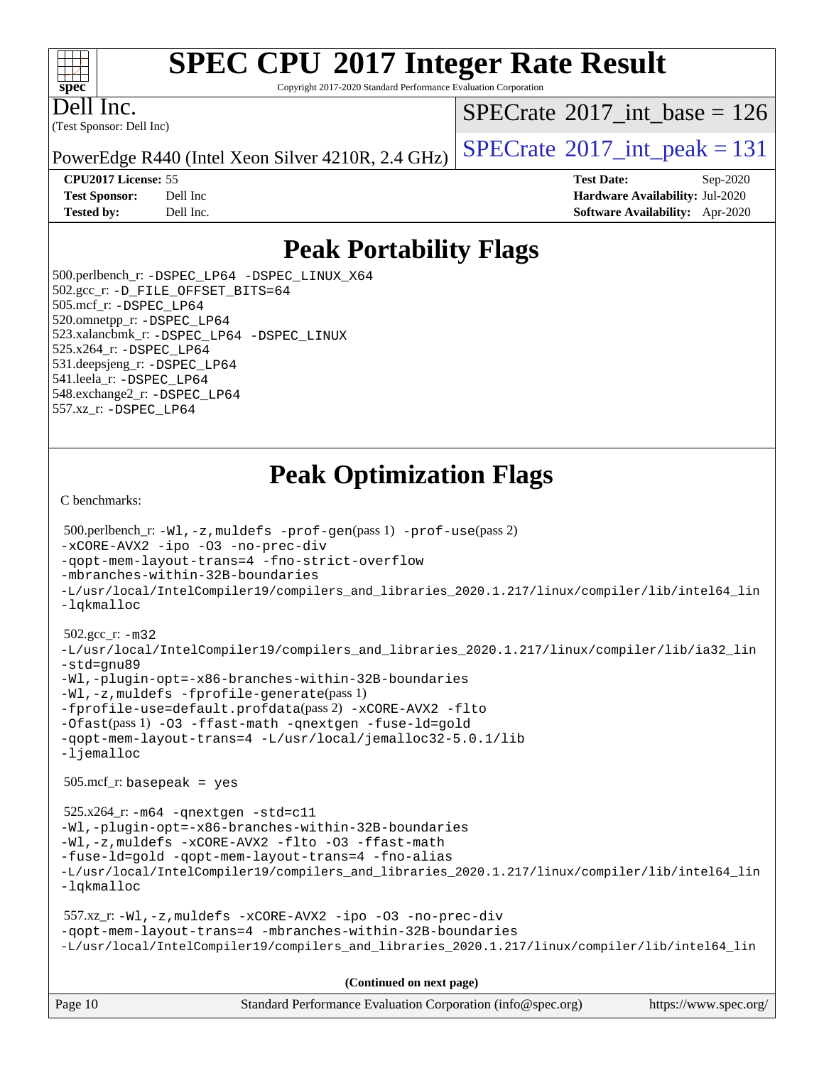# **[SPEC CPU](http://www.spec.org/auto/cpu2017/Docs/result-fields.html#SPECCPU2017IntegerRateResult)[2017 Integer Rate Result](http://www.spec.org/auto/cpu2017/Docs/result-fields.html#SPECCPU2017IntegerRateResult)**

Copyright 2017-2020 Standard Performance Evaluation Corporation

(Test Sponsor: Dell Inc) Dell Inc.

 $SPECTate@2017_int\_base = 126$ 

PowerEdge R440 (Intel Xeon Silver 4210R, 2.4 GHz)  $\left|$  [SPECrate](http://www.spec.org/auto/cpu2017/Docs/result-fields.html#SPECrate2017intpeak)<sup>®</sup>[2017\\_int\\_peak = 1](http://www.spec.org/auto/cpu2017/Docs/result-fields.html#SPECrate2017intpeak)31

**[CPU2017 License:](http://www.spec.org/auto/cpu2017/Docs/result-fields.html#CPU2017License)** 55 **[Test Date:](http://www.spec.org/auto/cpu2017/Docs/result-fields.html#TestDate)** Sep-2020 **[Test Sponsor:](http://www.spec.org/auto/cpu2017/Docs/result-fields.html#TestSponsor)** Dell Inc **[Hardware Availability:](http://www.spec.org/auto/cpu2017/Docs/result-fields.html#HardwareAvailability)** Jul-2020 **[Tested by:](http://www.spec.org/auto/cpu2017/Docs/result-fields.html#Testedby)** Dell Inc. **[Software Availability:](http://www.spec.org/auto/cpu2017/Docs/result-fields.html#SoftwareAvailability)** Apr-2020

### **[Peak Portability Flags](http://www.spec.org/auto/cpu2017/Docs/result-fields.html#PeakPortabilityFlags)**

 500.perlbench\_r: [-DSPEC\\_LP64](http://www.spec.org/cpu2017/results/res2020q4/cpu2017-20200928-24074.flags.html#b500.perlbench_r_peakPORTABILITY_DSPEC_LP64) [-DSPEC\\_LINUX\\_X64](http://www.spec.org/cpu2017/results/res2020q4/cpu2017-20200928-24074.flags.html#b500.perlbench_r_peakCPORTABILITY_DSPEC_LINUX_X64) 502.gcc\_r: [-D\\_FILE\\_OFFSET\\_BITS=64](http://www.spec.org/cpu2017/results/res2020q4/cpu2017-20200928-24074.flags.html#user_peakPORTABILITY502_gcc_r_file_offset_bits_64_5ae949a99b284ddf4e95728d47cb0843d81b2eb0e18bdfe74bbf0f61d0b064f4bda2f10ea5eb90e1dcab0e84dbc592acfc5018bc955c18609f94ddb8d550002c) 505.mcf\_r: [-DSPEC\\_LP64](http://www.spec.org/cpu2017/results/res2020q4/cpu2017-20200928-24074.flags.html#suite_peakPORTABILITY505_mcf_r_DSPEC_LP64) 520.omnetpp\_r: [-DSPEC\\_LP64](http://www.spec.org/cpu2017/results/res2020q4/cpu2017-20200928-24074.flags.html#suite_peakPORTABILITY520_omnetpp_r_DSPEC_LP64) 523.xalancbmk\_r: [-DSPEC\\_LP64](http://www.spec.org/cpu2017/results/res2020q4/cpu2017-20200928-24074.flags.html#suite_peakPORTABILITY523_xalancbmk_r_DSPEC_LP64) [-DSPEC\\_LINUX](http://www.spec.org/cpu2017/results/res2020q4/cpu2017-20200928-24074.flags.html#b523.xalancbmk_r_peakCXXPORTABILITY_DSPEC_LINUX) 525.x264\_r: [-DSPEC\\_LP64](http://www.spec.org/cpu2017/results/res2020q4/cpu2017-20200928-24074.flags.html#suite_peakPORTABILITY525_x264_r_DSPEC_LP64) 531.deepsjeng\_r: [-DSPEC\\_LP64](http://www.spec.org/cpu2017/results/res2020q4/cpu2017-20200928-24074.flags.html#suite_peakPORTABILITY531_deepsjeng_r_DSPEC_LP64) 541.leela\_r: [-DSPEC\\_LP64](http://www.spec.org/cpu2017/results/res2020q4/cpu2017-20200928-24074.flags.html#suite_peakPORTABILITY541_leela_r_DSPEC_LP64) 548.exchange2\_r: [-DSPEC\\_LP64](http://www.spec.org/cpu2017/results/res2020q4/cpu2017-20200928-24074.flags.html#suite_peakPORTABILITY548_exchange2_r_DSPEC_LP64) 557.xz\_r: [-DSPEC\\_LP64](http://www.spec.org/cpu2017/results/res2020q4/cpu2017-20200928-24074.flags.html#suite_peakPORTABILITY557_xz_r_DSPEC_LP64)

### **[Peak Optimization Flags](http://www.spec.org/auto/cpu2017/Docs/result-fields.html#PeakOptimizationFlags)**

[C benchmarks](http://www.spec.org/auto/cpu2017/Docs/result-fields.html#Cbenchmarks):

```
Page 10 Standard Performance Evaluation Corporation (info@spec.org) https://www.spec.org/
  500.perlbench_r: -Wl,-z,muldefs -prof-gen(pass 1) -prof-use(pass 2)
-xCORE-AVX2 -ipo -O3 -no-prec-div
-qopt-mem-layout-trans=4 -fno-strict-overflow
-mbranches-within-32B-boundaries
-L/usr/local/IntelCompiler19/compilers_and_libraries_2020.1.217/linux/compiler/lib/intel64_lin
-lqkmalloc
  502.gcc_r: -m32
-L/usr/local/IntelCompiler19/compilers_and_libraries_2020.1.217/linux/compiler/lib/ia32_lin
-std=gnu89
-Wl,-plugin-opt=-x86-branches-within-32B-boundaries
-Wl,-z,muldefs -fprofile-generate(pass 1)
-fprofile-use=default.profdata(pass 2) -xCORE-AVX2 -flto
-Ofast(pass 1) -O3 -ffast-math -qnextgen -fuse-ld=gold
-qopt-mem-layout-trans=4 -L/usr/local/jemalloc32-5.0.1/lib
-ljemalloc
  505.mcf_r: basepeak = yes
  525.x264_r: -m64 -qnextgen -std=c11
-Wl,-plugin-opt=-x86-branches-within-32B-boundaries
-Wl,-z,muldefs -xCORE-AVX2 -flto -O3 -ffast-math
-fuse-ld=gold -qopt-mem-layout-trans=4 -fno-alias
-L/usr/local/IntelCompiler19/compilers_and_libraries_2020.1.217/linux/compiler/lib/intel64_lin
-lqkmalloc
  557.xz_r: -Wl,-z,muldefs -xCORE-AVX2 -ipo -O3 -no-prec-div
-qopt-mem-layout-trans=4 -mbranches-within-32B-boundaries
-L/usr/local/IntelCompiler19/compilers_and_libraries_2020.1.217/linux/compiler/lib/intel64_lin
                                      (Continued on next page)
```